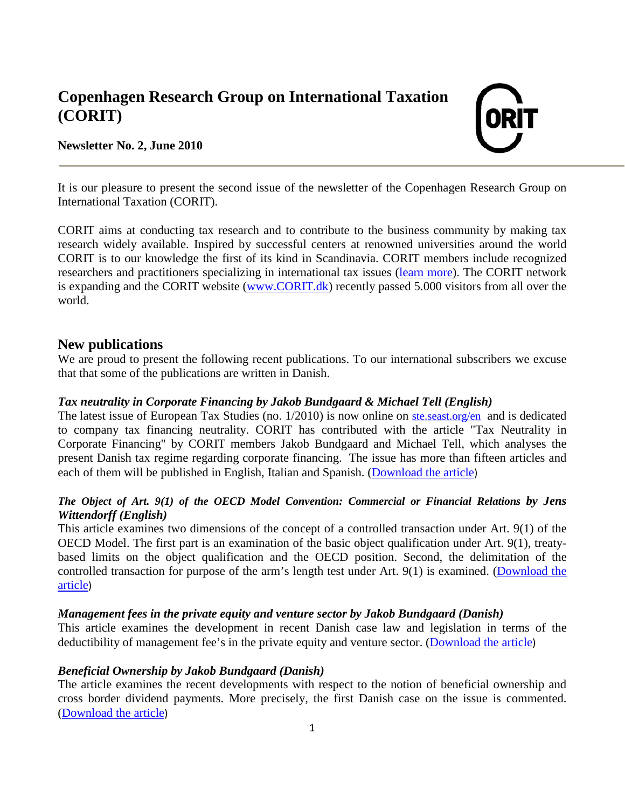# **Copenhagen Research Group on International Taxation (CORIT)**

# **Newsletter No. 2, June 2010**



It is our pleasure to present the second issue of the newsletter of the Copenhagen Research Group on International Taxation (CORIT).

CORIT aims at conducting tax research and to contribute to the business community by making tax research widely available. Inspired by successful centers at renowned universities around the world CORIT is to our knowledge the first of its kind in Scandinavia. CORIT members include recognized researchers and practitioners specializing in international tax issues [\(learn more\)](http://corit.dk/?getpage=3). The CORIT network is expanding and the CORIT website [\(www.CORIT.dk\)](http://www.corit.dk/) recently passed 5.000 visitors from all over the world.

# **New publications**

We are proud to present the following recent publications. To our international subscribers we excuse that that some of the publications are written in Danish.

#### *Tax neutrality in Corporate Financing by Jakob Bundgaard & Michael Tell (English)*

The latest issue of European Tax Studies (no. 1/2010) is now online on ste seast.org/en and is dedicated to company tax financing neutrality. CORIT has contributed with the article "Tax Neutrality in Corporate Financing" by CORIT members Jakob Bundgaard and Michael Tell, which analyses the present Danish tax regime regarding corporate financing. The issue has more than fifteen articles and each of them will be published in English, Italian and Spanish. [\(Download the article](http://corit.dk/login/spaw2/uploads/files/Denmark%20eng_xpdf11%20ok.pdf))

## *The Object of Art. 9(1) of the OECD Model Convention: Commercial or Financial Relations by Jens Wittendorff (English)*

This article examines two dimensions of the concept of a controlled transaction under Art. 9(1) of the OECD Model. The first part is an examination of the basic object qualification under Art. 9(1), treatybased limits on the object qualification and the OECD position. Second, the delimitation of the controlled transaction for purpose of the arm's length test under Art. 9(1) is examined. [\(Download the](http://corit.dk/login/spaw2/uploads/files/ITPJ%203%202010%20-%20J%20Wittendorff.pdf)  [article](http://corit.dk/login/spaw2/uploads/files/ITPJ%203%202010%20-%20J%20Wittendorff.pdf))

## *Management fees in the private equity and venture sector by Jakob Bundgaard (Danish)*

This article examines the development in recent Danish case law and legislation in terms of the deductibility of management fee's in the private equity and venture sector. [\(Download](http://corit.dk/login/spaw2/uploads/files/Den%20skatteretlige%20behandling.pdf) the article)

#### *Beneficial Ownership by Jakob Bundgaard (Danish)*

The article examines the recent developments with respect to the notion of beneficial ownership and cross border dividend payments. More precisely, the first Danish case on the issue is commented. [\(Download](http://corit.dk/login/spaw2/uploads/files/Første%20slag%20om%20beneficial%20ownership.pdf) the article)